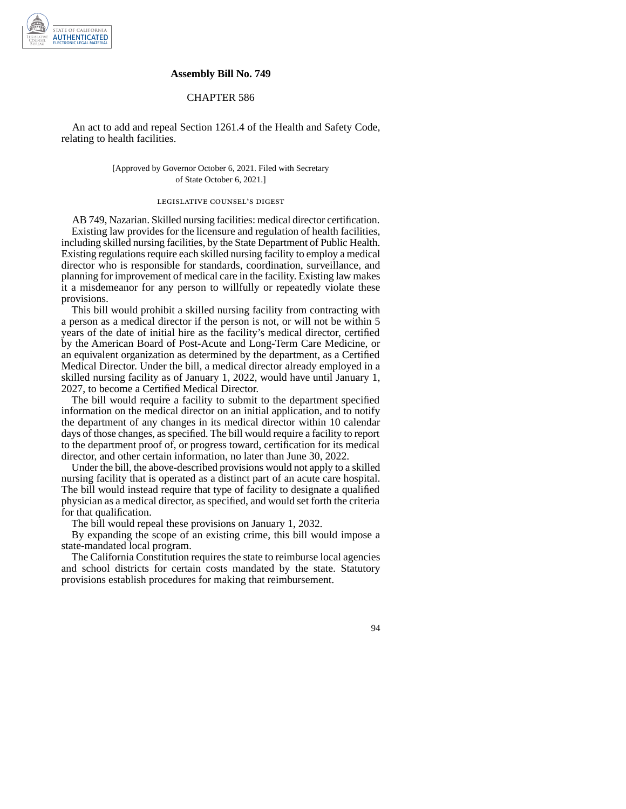

## **Assembly Bill No. 749**

## CHAPTER 586

An act to add and repeal Section 1261.4 of the Health and Safety Code, relating to health facilities.

> [Approved by Governor October 6, 2021. Filed with Secretary of State October 6, 2021.]

## legislative counsel' s digest

AB 749, Nazarian. Skilled nursing facilities: medical director certification. Existing law provides for the licensure and regulation of health facilities, including skilled nursing facilities, by the State Department of Public Health. Existing regulations require each skilled nursing facility to employ a medical director who is responsible for standards, coordination, surveillance, and planning for improvement of medical care in the facility. Existing law makes it a misdemeanor for any person to willfully or repeatedly violate these provisions.

This bill would prohibit a skilled nursing facility from contracting with a person as a medical director if the person is not, or will not be within 5 years of the date of initial hire as the facility's medical director, certified by the American Board of Post-Acute and Long-Term Care Medicine, or an equivalent organization as determined by the department, as a Certified Medical Director. Under the bill, a medical director already employed in a skilled nursing facility as of January 1, 2022, would have until January 1, 2027, to become a Certified Medical Director.

The bill would require a facility to submit to the department specified information on the medical director on an initial application, and to notify the department of any changes in its medical director within 10 calendar days of those changes, as specified. The bill would require a facility to report to the department proof of, or progress toward, certification for its medical director, and other certain information, no later than June 30, 2022.

Under the bill, the above-described provisions would not apply to a skilled nursing facility that is operated as a distinct part of an acute care hospital. The bill would instead require that type of facility to designate a qualified physician as a medical director, as specified, and would set forth the criteria for that qualification.

The bill would repeal these provisions on January 1, 2032.

By expanding the scope of an existing crime, this bill would impose a state-mandated local program.

The California Constitution requires the state to reimburse local agencies and school districts for certain costs mandated by the state. Statutory provisions establish procedures for making that reimbursement.

94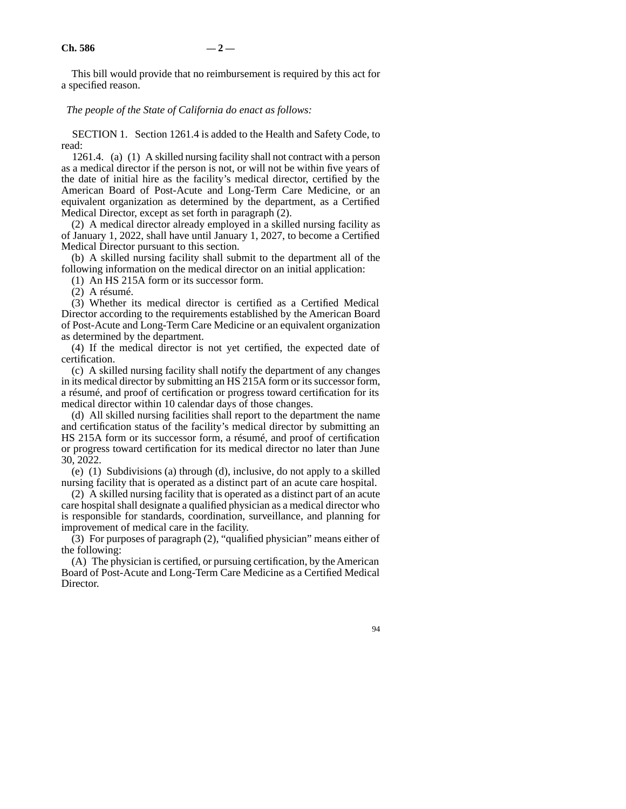This bill would provide that no reimbursement is required by this act for a specified reason.

*The people of the State of California do enact as follows:* 

SECTION 1. Section 1261.4 is added to the Health and Safety Code, to read:

1261.4. (a) (1) A skilled nursing facility shall not contract with a person as a medical director if the person is not, or will not be within five years of the date of initial hire as the facility's medical director, certified by the American Board of Post-Acute and Long-Term Care Medicine, or an equivalent organization as determined by the department, as a Certified Medical Director, except as set forth in paragraph (2).

(2) A medical director already employed in a skilled nursing facility as of January 1, 2022, shall have until January 1, 2027, to become a Certified Medical Director pursuant to this section.

(b) A skilled nursing facility shall submit to the department all of the following information on the medical director on an initial application:

(1) An HS 215A form or its successor form.

(2) A résumé.

(3) Whether its medical director is certified as a Certified Medical Director according to the requirements established by the American Board of Post-Acute and Long-Term Care Medicine or an equivalent organization as determined by the department.

(4) If the medical director is not yet certified, the expected date of certification.

(c) A skilled nursing facility shall notify the department of any changes in its medical director by submitting an HS 215A form or its successor form, a résumé, and proof of certification or progress toward certification for its medical director within 10 calendar days of those changes.

(d) All skilled nursing facilities shall report to the department the name and certification status of the facility's medical director by submitting an HS 215A form or its successor form, a résumé, and proof of certification or progress toward certification for its medical director no later than June 30, 2022.

(e) (1) Subdivisions (a) through (d), inclusive, do not apply to a skilled nursing facility that is operated as a distinct part of an acute care hospital.

(2) A skilled nursing facility that is operated as a distinct part of an acute care hospital shall designate a qualified physician as a medical director who is responsible for standards, coordination, surveillance, and planning for improvement of medical care in the facility.

(3) For purposes of paragraph (2), "qualified physician" means either of the following:

(A) The physician is certified, or pursuing certification, by the American Board of Post-Acute and Long-Term Care Medicine as a Certified Medical Director.

94